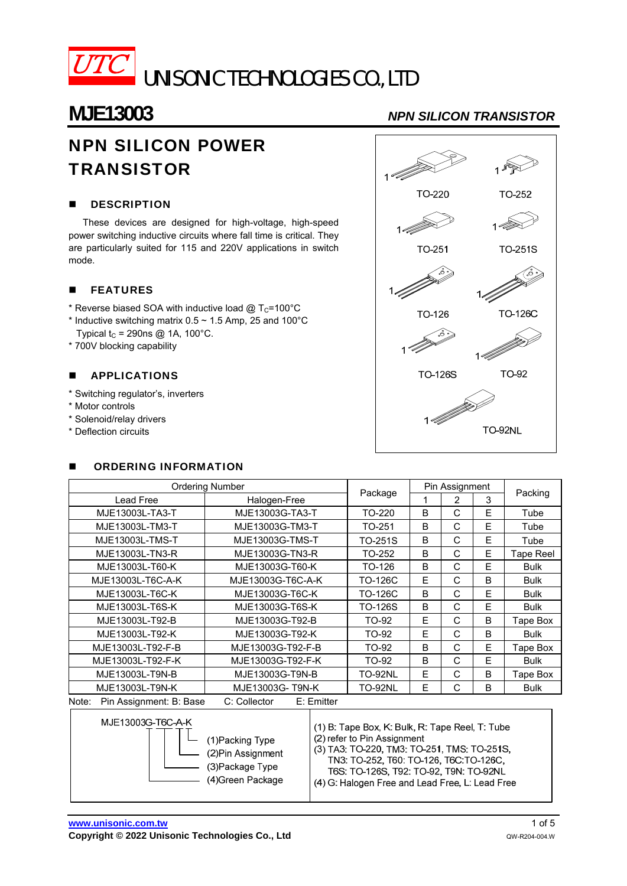

# **MJE13003** *NPN SILICON TRANSISTOR*

# NPN SILICON POWER **TRANSISTOR**

### **DESCRIPTION**

These devices are designed for high-voltage, high-speed power switching inductive circuits where fall time is critical. They are particularly suited for 115 and 220V applications in switch mode.

### **FEATURES**

- \* Reverse biased SOA with inductive load  $@T_{C}=100°C$
- \* Inductive switching matrix  $0.5 \sim 1.5$  Amp, 25 and 100°C
- Typical  $t_C$  = 290ns @ 1A, 100°C.
- \* 700V blocking capability

### **APPLICATIONS**

- \* Switching regulator's, inverters
- \* Motor controls
- \* Solenoid/relay drivers
- \* Deflection circuits

### **DECISION INFORMATION**

| <b>Ordering Number</b>           |                             |                | Pin Assignment |   |   |             |  |
|----------------------------------|-----------------------------|----------------|----------------|---|---|-------------|--|
| Lead Free                        | Halogen-Free                | Package        |                | 2 | 3 | Packing     |  |
| MJE13003L-TA3-T                  | MJE13003G-TA3-T             | TO-220         | B              | C | E | Tube        |  |
| MJE13003L-TM3-T                  | MJE13003G-TM3-T             | TO-251         | B              | C | F | Tube        |  |
| MJE13003L-TMS-T                  | MJE13003G-TMS-T             | TO-251S        | B              | C | E | Tube        |  |
| MJE13003L-TN3-R                  | MJE13003G-TN3-R             | TO-252         | B              | C | E | Tape Reel   |  |
| MJE13003L-T60-K                  | MJE13003G-T60-K             | TO-126         | B              | C | E | <b>Bulk</b> |  |
| MJE13003L-T6C-A-K                | MJE13003G-T6C-A-K           | TO-126C        | E              | C | B | <b>Bulk</b> |  |
| MJE13003L-T6C-K                  | MJE13003G-T6C-K             | TO-126C        | B              | C | E | <b>Bulk</b> |  |
| MJE13003L-T6S-K                  | MJE13003G-T6S-K             | TO-126S        | B              | C | Е | <b>Bulk</b> |  |
| MJE13003L-T92-B                  | MJE13003G-T92-B             | TO-92          | E              | C | B | Tape Box    |  |
| MJE13003L-T92-K                  | MJE13003G-T92-K             | TO-92          | E              | C | B | <b>Bulk</b> |  |
| MJE13003L-T92-F-B                | MJE13003G-T92-F-B           | TO-92          | B              | C | Ε | Tape Box    |  |
| MJE13003L-T92-F-K                | MJE13003G-T92-F-K           | TO-92          | B              | C | E | <b>Bulk</b> |  |
| MJE13003L-T9N-B                  | MJE13003G-T9N-B             | <b>TO-92NL</b> | E              | C | B | Tape Box    |  |
| MJE13003L-T9N-K                  | MJE13003G-T9N-K             | <b>TO-92NL</b> | E              | C | B | <b>Bulk</b> |  |
| Pin Assignment: B: Base<br>Note: | C: Collector<br>E: Emitter  |                |                |   |   |             |  |
| MJF13003G-T6C-A-K                | $\sim$ $\sim$ $\sim$ $\sim$ |                | .              |   |   |             |  |

| MJET3003G-TOG-A-N<br>(1) Packing Type<br>(2) Pin Assignment<br>(3) Package Type<br>(4) Green Package | (1) B: Tape Box, K: Bulk, R: Tape Reel, T: Tube<br>(2) refer to Pin Assignment<br>(3) TA3: TO-220, TM3: TO-251, TMS: TO-251S,<br>TN3: TO-252, T60: TO-126, T6C.TO-126C.<br>T6S. TO-126S. T92: TO-92. T9N. TO-92NL<br>(4) G. Halogen Free and Lead Free, L. Lead Free |
|------------------------------------------------------------------------------------------------------|----------------------------------------------------------------------------------------------------------------------------------------------------------------------------------------------------------------------------------------------------------------------|
|------------------------------------------------------------------------------------------------------|----------------------------------------------------------------------------------------------------------------------------------------------------------------------------------------------------------------------------------------------------------------------|

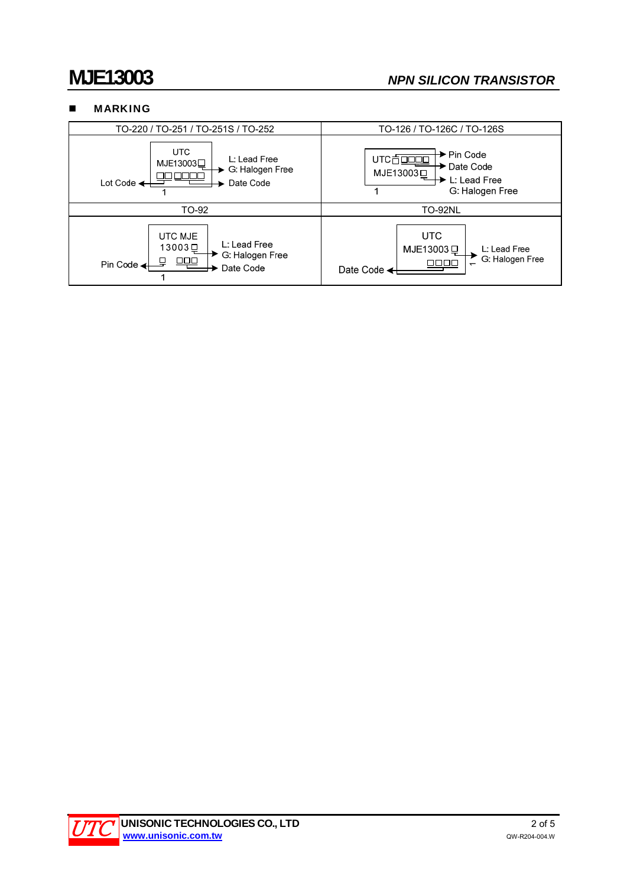## **MJE13003** *NPN SILICON TRANSISTOR*

### **MARKING**



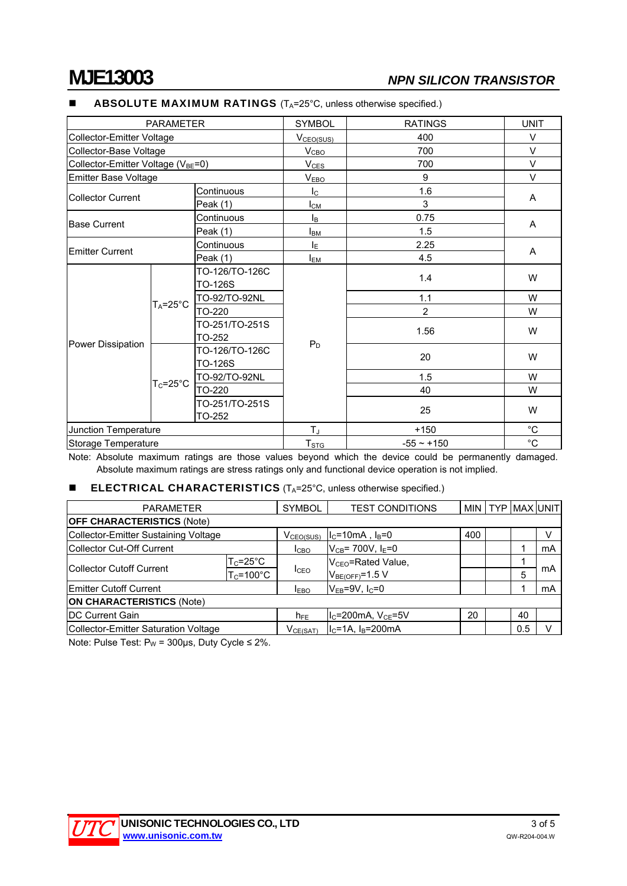Power Dissipation

## **MJE13003** *NPN SILICON TRANSISTOR*

|                                                | <b>ABSOLU I E MAXIMUM RATINGS</b> (1 <sub>A</sub> =25°C, unless otherwise specified.) |                         |                |             |  |
|------------------------------------------------|---------------------------------------------------------------------------------------|-------------------------|----------------|-------------|--|
| <b>PARAMETER</b>                               |                                                                                       | <b>SYMBOL</b>           | <b>RATINGS</b> | <b>UNIT</b> |  |
| Collector-Emitter Voltage                      |                                                                                       | V <sub>CEO(SUS)</sub>   | 400            | V           |  |
| Collector-Base Voltage                         |                                                                                       | V <sub>CBO</sub>        | 700            | $\vee$      |  |
| Collector-Emitter Voltage (V <sub>BE</sub> =0) |                                                                                       | $V_{CES}$               | 700            | V           |  |
| <b>Emitter Base Voltage</b>                    |                                                                                       | V <sub>EBO</sub>        | 9              | $\vee$      |  |
|                                                | Continuous                                                                            | $\mathsf{I}_\mathsf{C}$ | 1.6            |             |  |
| Collector Current                              | Peak (1)                                                                              | Iсм                     | 3              | A           |  |
|                                                | Continuous                                                                            | I <sub>B</sub>          | 0.75           |             |  |
| <b>IBase Current</b>                           | Peak (1)                                                                              | Iвм                     | 1.5            | A           |  |
|                                                | Continuous                                                                            | ΙE                      | 2.25           |             |  |
| <b>Emitter Current</b>                         | Peak $(1)$                                                                            | I <sub>EM</sub>         | 4.5            | A           |  |
|                                                | TO-126/TO-126C                                                                        |                         |                | W           |  |
| $T_A = 25^\circ C$                             | TO-126S                                                                               |                         | 1.4            |             |  |
|                                                | TO-92/TO-92NL                                                                         |                         | 1.1            | W           |  |
|                                                | $   -$                                                                                |                         |                | $\cdots$    |  |

### $\mathsf F$  MAXIMUM RATINGS (T. -25°C, unless otherwise specified.)

Note: Absolute maximum ratings are those values beyond which the device could be permanently damaged. Absolute maximum ratings are stress ratings only and functional device operation is not implied.

Junction Temperature TJ TJ +150  $^{°}$ C Storage Temperature Text Contract Contract Contract Text Contract Text Contract Text Contract Contract Text Co

 $P_D$ 

TO-220 2 W

TO-252 1.56 W

TO-126S 20 W TO-92/TO-92NL 1.5 W TO-220 40 W

TO-252  $\begin{array}{|c|c|c|c|c|c|}\n\hline\n\end{array}$  TO-252  $\begin{array}{|c|c|c|c|c|c|}\n\hline\n\end{array}$  W

### **ELECTRICAL CHARACTERISTICS** ( $T_A$ =25 $^{\circ}$ C, unless otherwise specified.)

TO-251/TO-251S

TO-126/TO-126C

TO-251/TO-251S

| <b>PARAMETER</b>                     |                                                                  | <b>SYMBOL</b>         | <b>TEST CONDITIONS</b>         |     |  | MIN   TYP   MAX   UNIT |    |
|--------------------------------------|------------------------------------------------------------------|-----------------------|--------------------------------|-----|--|------------------------|----|
| <b>OFF CHARACTERISTICS (Note)</b>    |                                                                  |                       |                                |     |  |                        |    |
| Collector-Emitter Sustaining Voltage |                                                                  | V <sub>CEO(SUS)</sub> | $IC=10mA$ , $IB=0$             | 400 |  |                        |    |
| Collector Cut-Off Current            |                                                                  | I <sub>CBO</sub>      | $V_{CB}$ = 700V, $I_E$ =0      |     |  |                        | mA |
| Collector Cutoff Current             | $\mathsf{T}_{\mathsf{C}}\texttt{=}\mathsf{25}^{\circ}\mathsf{C}$ | <b>I</b> CEO          | V <sub>CEO</sub> =Rated Value, |     |  |                        |    |
|                                      | $T_c$ =100°C                                                     |                       | $VBE(OFF)=1.5 V$               |     |  | 5                      | mA |
| <b>IEmitter Cutoff Current</b>       |                                                                  | <b>IEBO</b>           | $V_{EB} = 9V, I_C = 0$         |     |  |                        | mA |
| <b>ON CHARACTERISTICS (Note)</b>     |                                                                  |                       |                                |     |  |                        |    |
| <b>IDC Current Gain</b>              |                                                                  | $h_{FE}$              | $I_C = 200$ mA, $V_{CE} = 5V$  | 20  |  | 40                     |    |
| Collector-Emitter Saturation Voltage |                                                                  | $V_{CE(SAT)}$         | $I_c = 1A$ , $I_B = 200mA$     |     |  | 0.5                    |    |

Note: Pulse Test:  $P_W = 300 \mu s$ , Duty Cycle  $\leq 2\%$ .

 $T<sub>C</sub>=25°C$ 

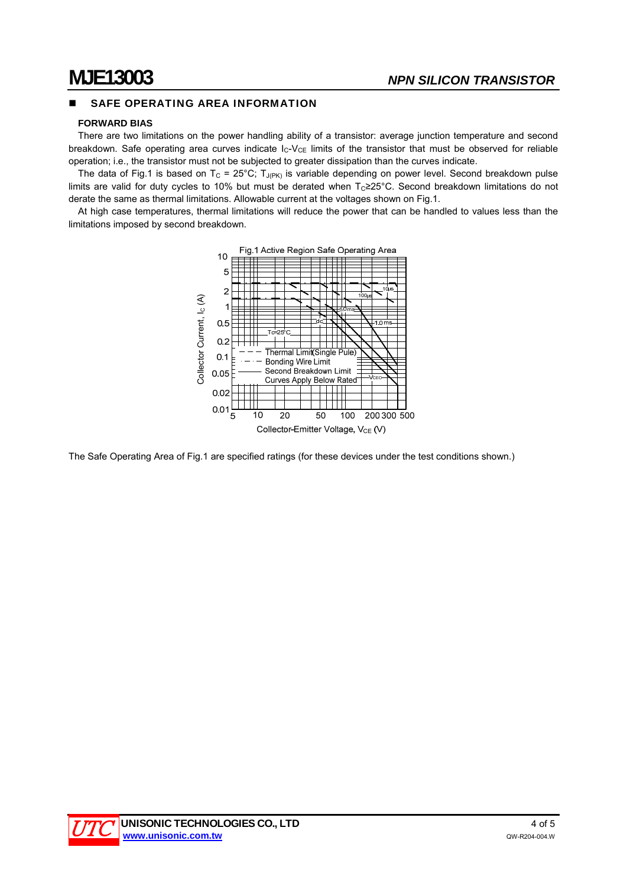### SAFE OPERATING AREA INFORMATION

### **FORWARD BIAS**

There are two limitations on the power handling ability of a transistor: average junction temperature and second breakdown. Safe operating area curves indicate  $I_C-V_{CE}$  limits of the transistor that must be observed for reliable operation; i.e., the transistor must not be subjected to greater dissipation than the curves indicate.

The data of Fig.1 is based on T<sub>C</sub> = 25°C; T<sub>J(PK)</sub> is variable depending on power level. Second breakdown pulse limits are valid for duty cycles to 10% but must be derated when  $T<sub>C</sub> \ge 25$ °C. Second breakdown limitations do not derate the same as thermal limitations. Allowable current at the voltages shown on Fig.1.

At high case temperatures, thermal limitations will reduce the power that can be handled to values less than the limitations imposed by second breakdown.



The Safe Operating Area of Fig.1 are specified ratings (for these devices under the test conditions shown.)